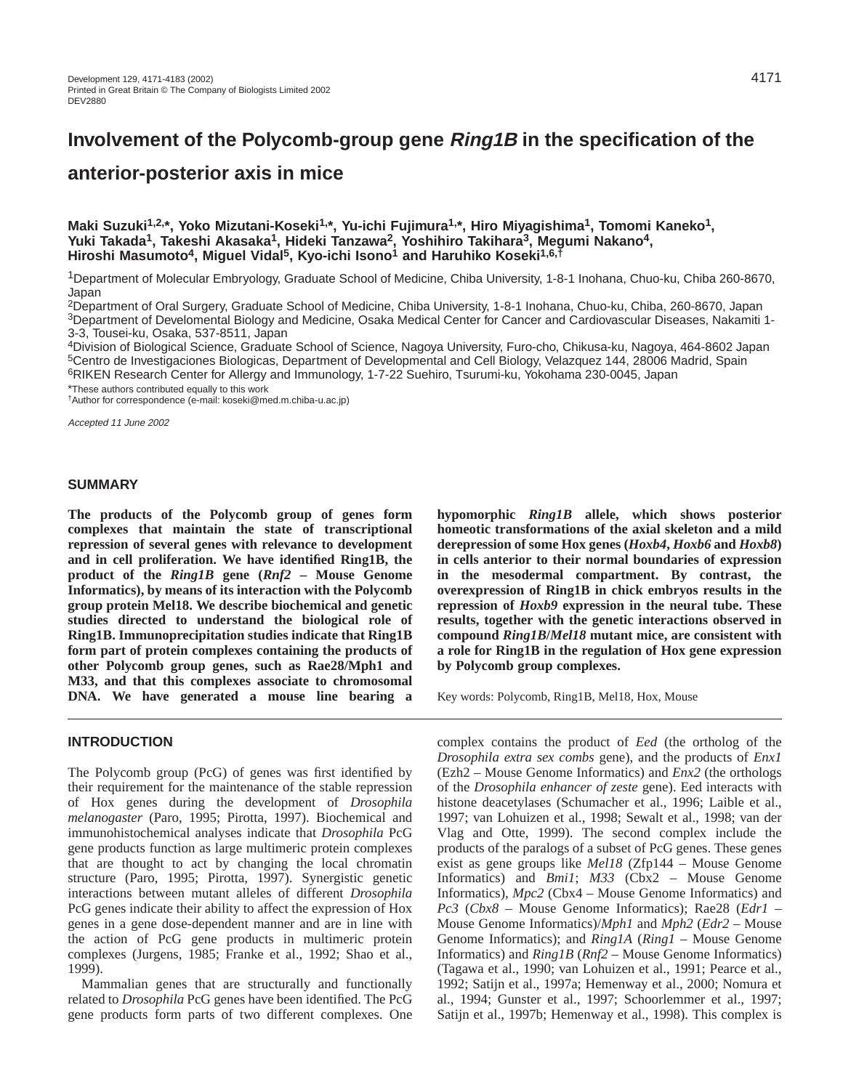# **Involvement of the Polycomb-group gene Ring1B in the specification of the**

## **anterior-posterior axis in mice**

Maki Suzuki<sup>1,2,\*</sup>, Yoko Mizutani-Koseki<sup>1,\*</sup>, Yu-ichi Fujimura<sup>1,\*</sup>, Hiro Miyagishima<sup>1</sup>, Tomomi Kaneko<sup>1</sup>, **Yuki Takada1, Takeshi Akasaka1, Hideki Tanzawa2, Yoshihiro Takihara3, Megumi Nakano4, Hiroshi Masumoto4, Miguel Vidal5, Kyo-ichi Isono1 and Haruhiko Koseki1,6,†**

<sup>1</sup>Department of Molecular Embryology, Graduate School of Medicine, Chiba University, 1-8-1 Inohana, Chuo-ku, Chiba 260-8670, Japan

2Department of Oral Surgery, Graduate School of Medicine, Chiba University, 1-8-1 Inohana, Chuo-ku, Chiba, 260-8670, Japan 3Department of Develomental Biology and Medicine, Osaka Medical Center for Cancer and Cardiovascular Diseases, Nakamiti 1- 3-3, Tousei-ku, Osaka, 537-8511, Japan

4Division of Biological Science, Graduate School of Science, Nagoya University, Furo-cho, Chikusa-ku, Nagoya, 464-8602 Japan 5Centro de Investigaciones Biologicas, Department of Developmental and Cell Biology, Velazquez 144, 28006 Madrid, Spain 6RIKEN Research Center for Allergy and Immunology, 1-7-22 Suehiro, Tsurumi-ku, Yokohama 230-0045, Japan

\*These authors contributed equally to this work

†Author for correspondence (e-mail: koseki@med.m.chiba-u.ac.jp)

Accepted 11 June 2002

#### **SUMMARY**

**The products of the Polycomb group of genes form complexes that maintain the state of transcriptional repression of several genes with relevance to development and in cell proliferation. We have identified Ring1B, the product of the** *Ring1B* **gene (***Rnf2* **– Mouse Genome Informatics), by means of its interaction with the Polycomb group protein Mel18. We describe biochemical and genetic studies directed to understand the biological role of Ring1B. Immunoprecipitation studies indicate that Ring1B form part of protein complexes containing the products of other Polycomb group genes, such as Rae28/Mph1 and M33, and that this complexes associate to chromosomal DNA. We have generated a mouse line bearing a**

## **INTRODUCTION**

The Polycomb group (PcG) of genes was first identified by their requirement for the maintenance of the stable repression of Hox genes during the development of *Drosophila melanogaster* (Paro, 1995; Pirotta, 1997). Biochemical and immunohistochemical analyses indicate that *Drosophila* PcG gene products function as large multimeric protein complexes that are thought to act by changing the local chromatin structure (Paro, 1995; Pirotta, 1997). Synergistic genetic interactions between mutant alleles of different *Drosophila* PcG genes indicate their ability to affect the expression of Hox genes in a gene dose-dependent manner and are in line with the action of PcG gene products in multimeric protein complexes (Jurgens, 1985; Franke et al., 1992; Shao et al., 1999).

Mammalian genes that are structurally and functionally related to *Drosophila* PcG genes have been identified. The PcG gene products form parts of two different complexes. One

**hypomorphic** *Ring1B* **allele, which shows posterior homeotic transformations of the axial skeleton and a mild derepression of some Hox genes (***Hoxb4***,** *Hoxb6* **and** *Hoxb8***) in cells anterior to their normal boundaries of expression in the mesodermal compartment. By contrast, the overexpression of Ring1B in chick embryos results in the repression of** *Hoxb9* **expression in the neural tube. These results, together with the genetic interactions observed in compound** *Ring1B***/***Mel18* **mutant mice, are consistent with a role for Ring1B in the regulation of Hox gene expression by Polycomb group complexes.** 

Key words: Polycomb, Ring1B, Mel18, Hox, Mouse

complex contains the product of *Eed* (the ortholog of the *Drosophila extra sex combs* gene), and the products of *Enx1* (Ezh2 – Mouse Genome Informatics) and *Enx2* (the orthologs of the *Drosophila enhancer of zeste* gene). Eed interacts with histone deacetylases (Schumacher et al., 1996; Laible et al., 1997; van Lohuizen et al., 1998; Sewalt et al., 1998; van der Vlag and Otte, 1999). The second complex include the products of the paralogs of a subset of PcG genes. These genes exist as gene groups like *Mel18* (Zfp144 – Mouse Genome Informatics) and *Bmi1*; *M33* (Cbx2 – Mouse Genome Informatics), *Mpc2* (Cbx4 – Mouse Genome Informatics) and *Pc3* (*Cbx8* – Mouse Genome Informatics); Rae28 (*Edr1* – Mouse Genome Informatics)/*Mph1* and *Mph2* (*Edr2* – Mouse Genome Informatics); and *Ring1A* (*Ring1* – Mouse Genome Informatics) and *Ring1B* (*Rnf2* – Mouse Genome Informatics) (Tagawa et al., 1990; van Lohuizen et al., 1991; Pearce et al., 1992; Satijn et al., 1997a; Hemenway et al., 2000; Nomura et al., 1994; Gunster et al., 1997; Schoorlemmer et al., 1997; Satijn et al., 1997b; Hemenway et al., 1998). This complex is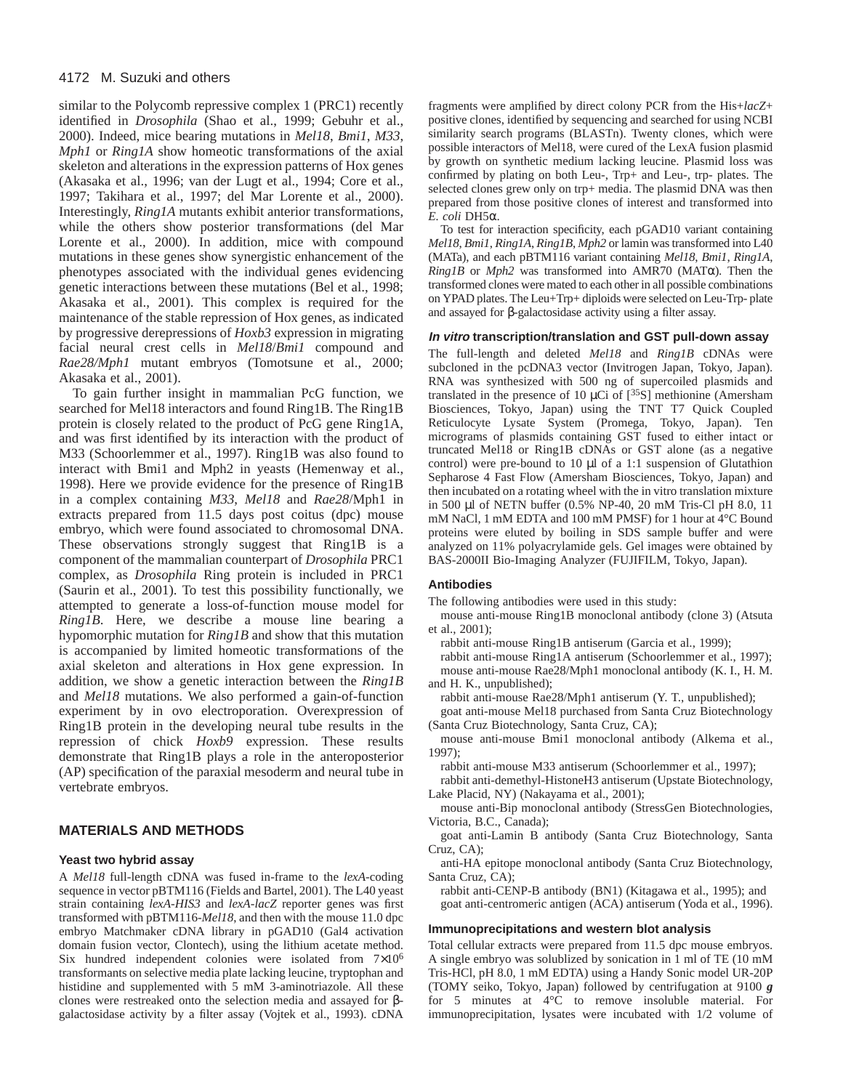similar to the Polycomb repressive complex 1 (PRC1) recently identified in *Drosophila* (Shao et al., 1999; Gebuhr et al., 2000). Indeed, mice bearing mutations in *Mel18*, *Bmi1*, *M33*, *Mph1* or *Ring1A* show homeotic transformations of the axial skeleton and alterations in the expression patterns of Hox genes (Akasaka et al., 1996; van der Lugt et al., 1994; Core et al., 1997; Takihara et al., 1997; del Mar Lorente et al., 2000). Interestingly, *Ring1A* mutants exhibit anterior transformations, while the others show posterior transformations (del Mar Lorente et al., 2000). In addition, mice with compound mutations in these genes show synergistic enhancement of the phenotypes associated with the individual genes evidencing genetic interactions between these mutations (Bel et al., 1998; Akasaka et al., 2001). This complex is required for the maintenance of the stable repression of Hox genes, as indicated by progressive derepressions of *Hoxb3* expression in migrating facial neural crest cells in *Mel18*/*Bmi1* compound and *Rae28/Mph1* mutant embryos (Tomotsune et al., 2000; Akasaka et al., 2001).

To gain further insight in mammalian PcG function, we searched for Mel18 interactors and found Ring1B. The Ring1B protein is closely related to the product of PcG gene Ring1A, and was first identified by its interaction with the product of M33 (Schoorlemmer et al., 1997). Ring1B was also found to interact with Bmi1 and Mph2 in yeasts (Hemenway et al., 1998). Here we provide evidence for the presence of Ring1B in a complex containing *M33*, *Mel18* and *Rae28*/Mph1 in extracts prepared from 11.5 days post coitus (dpc) mouse embryo, which were found associated to chromosomal DNA. These observations strongly suggest that Ring1B is a component of the mammalian counterpart of *Drosophila* PRC1 complex, as *Drosophila* Ring protein is included in PRC1 (Saurin et al., 2001). To test this possibility functionally, we attempted to generate a loss-of-function mouse model for *Ring1B*. Here, we describe a mouse line bearing a hypomorphic mutation for *Ring1B* and show that this mutation is accompanied by limited homeotic transformations of the axial skeleton and alterations in Hox gene expression. In addition, we show a genetic interaction between the *Ring1B* and *Mel18* mutations. We also performed a gain-of-function experiment by in ovo electroporation. Overexpression of Ring1B protein in the developing neural tube results in the repression of chick *Hoxb9* expression. These results demonstrate that Ring1B plays a role in the anteroposterior (AP) specification of the paraxial mesoderm and neural tube in vertebrate embryos.

#### **MATERIALS AND METHODS**

#### **Yeast two hybrid assay**

A *Mel18* full-length cDNA was fused in-frame to the *lexA*-coding sequence in vector pBTM116 (Fields and Bartel, 2001). The L40 yeast strain containing *lexA*-*HIS3* and *lexA*-*lacZ* reporter genes was first transformed with pBTM116-*Mel18*, and then with the mouse 11.0 dpc embryo Matchmaker cDNA library in pGAD10 (Gal4 activation domain fusion vector, Clontech), using the lithium acetate method. Six hundred independent colonies were isolated from  $7\times10^6$ transformants on selective media plate lacking leucine, tryptophan and histidine and supplemented with 5 mM 3-aminotriazole. All these clones were restreaked onto the selection media and assayed for βgalactosidase activity by a filter assay (Vojtek et al., 1993). cDNA

fragments were amplified by direct colony PCR from the His+*lacZ*+ positive clones, identified by sequencing and searched for using NCBI similarity search programs (BLASTn). Twenty clones, which were possible interactors of Mel18, were cured of the LexA fusion plasmid by growth on synthetic medium lacking leucine. Plasmid loss was confirmed by plating on both Leu-, Trp+ and Leu-, trp- plates. The selected clones grew only on trp+ media. The plasmid DNA was then prepared from those positive clones of interest and transformed into *E. coli* DH5α.

To test for interaction specificity, each pGAD10 variant containing *Mel18*, *Bmi1*, *Ring1A*, *Ring1B*, *Mph2* or lamin was transformed into L40 (MATa), and each pBTM116 variant containing *Mel18*, *Bmi1*, *Ring1A*, *Ring1B* or *Mph2* was transformed into AMR70 (MATα). Then the transformed clones were mated to each other in all possible combinations on YPAD plates. The Leu+Trp+ diploids were selected on Leu-Trp- plate and assayed for β-galactosidase activity using a filter assay.

#### **In vitro transcription/translation and GST pull-down assay**

The full-length and deleted *Mel18* and *Ring1B* cDNAs were subcloned in the pcDNA3 vector (Invitrogen Japan, Tokyo, Japan). RNA was synthesized with 500 ng of supercoiled plasmids and translated in the presence of 10  $\mu$ Ci of [<sup>35</sup>S] methionine (Amersham Biosciences, Tokyo, Japan) using the TNT T7 Quick Coupled Reticulocyte Lysate System (Promega, Tokyo, Japan). Ten micrograms of plasmids containing GST fused to either intact or truncated Mel18 or Ring1B cDNAs or GST alone (as a negative control) were pre-bound to 10  $\mu$ l of a 1:1 suspension of Glutathion Sepharose 4 Fast Flow (Amersham Biosciences, Tokyo, Japan) and then incubated on a rotating wheel with the in vitro translation mixture in 500 µl of NETN buffer (0.5% NP-40, 20 mM Tris-Cl pH 8.0, 11 mM NaCl, 1 mM EDTA and 100 mM PMSF) for 1 hour at 4°C Bound proteins were eluted by boiling in SDS sample buffer and were analyzed on 11% polyacrylamide gels. Gel images were obtained by BAS-2000II Bio-Imaging Analyzer (FUJIFILM, Tokyo, Japan).

#### **Antibodies**

The following antibodies were used in this study:

mouse anti-mouse Ring1B monoclonal antibody (clone 3) (Atsuta et al., 2001);

rabbit anti-mouse Ring1B antiserum (Garcia et al., 1999);

rabbit anti-mouse Ring1A antiserum (Schoorlemmer et al., 1997); mouse anti-mouse Rae28/Mph1 monoclonal antibody (K. I., H. M. and H. K., unpublished);

rabbit anti-mouse Rae28/Mph1 antiserum (Y. T., unpublished);

goat anti-mouse Mel18 purchased from Santa Cruz Biotechnology (Santa Cruz Biotechnology, Santa Cruz, CA);

mouse anti-mouse Bmi1 monoclonal antibody (Alkema et al., 1997);

rabbit anti-mouse M33 antiserum (Schoorlemmer et al., 1997);

rabbit anti-demethyl-HistoneH3 antiserum (Upstate Biotechnology, Lake Placid, NY) (Nakayama et al., 2001);

mouse anti-Bip monoclonal antibody (StressGen Biotechnologies, Victoria, B.C., Canada);

goat anti-Lamin B antibody (Santa Cruz Biotechnology, Santa Cruz, CA);

anti-HA epitope monoclonal antibody (Santa Cruz Biotechnology, Santa Cruz, CA);

rabbit anti-CENP-B antibody (BN1) (Kitagawa et al., 1995); and goat anti-centromeric antigen (ACA) antiserum (Yoda et al., 1996).

#### **Immunoprecipitations and western blot analysis**

Total cellular extracts were prepared from 11.5 dpc mouse embryos. A single embryo was solublized by sonication in 1 ml of TE (10 mM Tris-HCl, pH 8.0, 1 mM EDTA) using a Handy Sonic model UR-20P (TOMY seiko, Tokyo, Japan) followed by centrifugation at 9100 *g* for 5 minutes at 4°C to remove insoluble material. For immunoprecipitation, lysates were incubated with 1/2 volume of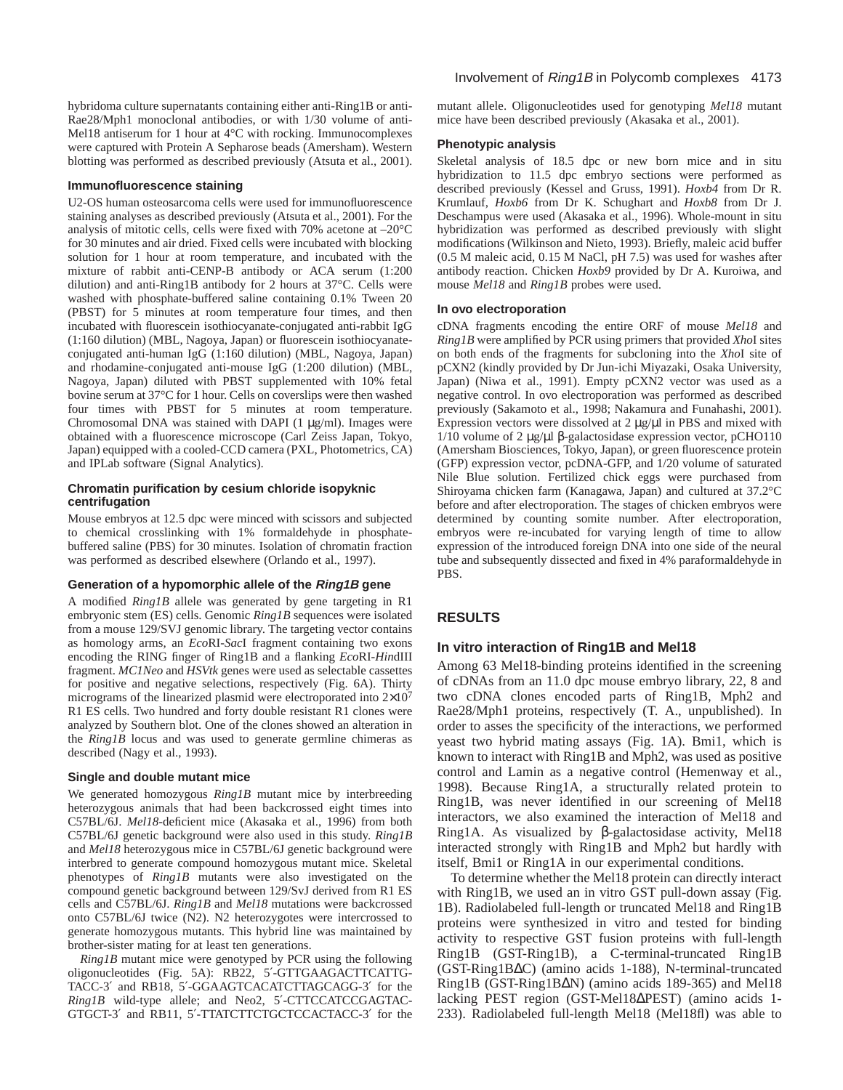hybridoma culture supernatants containing either anti-Ring1B or anti-Rae28/Mph1 monoclonal antibodies, or with 1/30 volume of anti-Mel18 antiserum for 1 hour at 4°C with rocking. Immunocomplexes were captured with Protein A Sepharose beads (Amersham). Western blotting was performed as described previously (Atsuta et al., 2001).

#### **Immunofluorescence staining**

U2-OS human osteosarcoma cells were used for immunofluorescence staining analyses as described previously (Atsuta et al., 2001). For the analysis of mitotic cells, cells were fixed with 70% acetone at –20°C for 30 minutes and air dried. Fixed cells were incubated with blocking solution for 1 hour at room temperature, and incubated with the mixture of rabbit anti-CENP-B antibody or ACA serum (1:200 dilution) and anti-Ring1B antibody for 2 hours at 37°C. Cells were washed with phosphate-buffered saline containing 0.1% Tween 20 (PBST) for 5 minutes at room temperature four times, and then incubated with fluorescein isothiocyanate-conjugated anti-rabbit IgG (1:160 dilution) (MBL, Nagoya, Japan) or fluorescein isothiocyanateconjugated anti-human IgG (1:160 dilution) (MBL, Nagoya, Japan) and rhodamine-conjugated anti-mouse IgG (1:200 dilution) (MBL, Nagoya, Japan) diluted with PBST supplemented with 10% fetal bovine serum at 37°C for 1 hour. Cells on coverslips were then washed four times with PBST for 5 minutes at room temperature. Chromosomal DNA was stained with DAPI (1 µg/ml). Images were obtained with a fluorescence microscope (Carl Zeiss Japan, Tokyo, Japan) equipped with a cooled-CCD camera (PXL, Photometrics, CA) and IPLab software (Signal Analytics).

### **Chromatin purification by cesium chloride isopyknic centrifugation**

Mouse embryos at 12.5 dpc were minced with scissors and subjected to chemical crosslinking with 1% formaldehyde in phosphatebuffered saline (PBS) for 30 minutes. Isolation of chromatin fraction was performed as described elsewhere (Orlando et al., 1997).

#### **Generation of a hypomorphic allele of the Ring1B gene**

A modified *Ring1B* allele was generated by gene targeting in R1 embryonic stem (ES) cells. Genomic *Ring1B* sequences were isolated from a mouse 129/SVJ genomic library. The targeting vector contains as homology arms, an *Eco*RI-*Sac*I fragment containing two exons encoding the RING finger of Ring1B and a flanking *Eco*RI-*Hin*dIII fragment. *MC1Neo* and *HSVtk* genes were used as selectable cassettes for positive and negative selections, respectively (Fig. 6A). Thirty micrograms of the linearized plasmid were electroporated into  $2\times10^7$ R1 ES cells. Two hundred and forty double resistant R1 clones were analyzed by Southern blot. One of the clones showed an alteration in the *Ring1B* locus and was used to generate germline chimeras as described (Nagy et al., 1993).

#### **Single and double mutant mice**

We generated homozygous *Ring1B* mutant mice by interbreeding heterozygous animals that had been backcrossed eight times into C57BL/6J. *Mel18-*deficient mice (Akasaka et al., 1996) from both C57BL/6J genetic background were also used in this study. *Ring1B* and *Mel18* heterozygous mice in C57BL/6J genetic background were interbred to generate compound homozygous mutant mice. Skeletal phenotypes of *Ring1B* mutants were also investigated on the compound genetic background between 129/SvJ derived from R1 ES cells and C57BL/6J. *Ring1B* and *Mel18* mutations were backcrossed onto C57BL/6J twice (N2). N2 heterozygotes were intercrossed to generate homozygous mutants. This hybrid line was maintained by brother-sister mating for at least ten generations.

*Ring1B* mutant mice were genotyped by PCR using the following oligonucleotides (Fig. 5A): RB22, 5′-GTTGAAGACTTCATTG-TACC-3′ and RB18, 5′-GGAAGTCACATCTTAGCAGG-3′ for the *Ring1B* wild-type allele; and Neo2, 5′-CTTCCATCCGAGTAC-GTGCT-3′ and RB11, 5′-TTATCTTCTGCTCCACTACC-3′ for the mutant allele. Oligonucleotides used for genotyping *Mel18* mutant mice have been described previously (Akasaka et al., 2001).

#### **Phenotypic analysis**

Skeletal analysis of 18.5 dpc or new born mice and in situ hybridization to 11.5 dpc embryo sections were performed as described previously (Kessel and Gruss, 1991). *Hoxb4* from Dr R. Krumlauf, *Hoxb6* from Dr K. Schughart and *Hoxb8* from Dr J. Deschampus were used (Akasaka et al., 1996). Whole-mount in situ hybridization was performed as described previously with slight modifications (Wilkinson and Nieto, 1993). Briefly, maleic acid buffer (0.5 M maleic acid, 0.15 M NaCl, pH 7.5) was used for washes after antibody reaction. Chicken *Hoxb9* provided by Dr A. Kuroiwa, and mouse *Mel18* and *Ring1B* probes were used.

#### **In ovo electroporation**

cDNA fragments encoding the entire ORF of mouse *Mel18* and *Ring1B* were amplified by PCR using primers that provided *Xho*I sites on both ends of the fragments for subcloning into the *Xho*I site of pCXN2 (kindly provided by Dr Jun-ichi Miyazaki, Osaka University, Japan) (Niwa et al., 1991). Empty pCXN2 vector was used as a negative control. In ovo electroporation was performed as described previously (Sakamoto et al., 1998; Nakamura and Funahashi, 2001). Expression vectors were dissolved at 2  $\mu$ g/ $\mu$ l in PBS and mixed with 1/10 volume of 2 µg/µl β-galactosidase expression vector, pCHO110 (Amersham Biosciences, Tokyo, Japan), or green fluorescence protein (GFP) expression vector, pcDNA-GFP, and 1/20 volume of saturated Nile Blue solution. Fertilized chick eggs were purchased from Shiroyama chicken farm (Kanagawa, Japan) and cultured at 37.2°C before and after electroporation. The stages of chicken embryos were determined by counting somite number. After electroporation, embryos were re-incubated for varying length of time to allow expression of the introduced foreign DNA into one side of the neural tube and subsequently dissected and fixed in 4% paraformaldehyde in PBS.

#### **RESULTS**

#### **In vitro interaction of Ring1B and Mel18**

Among 63 Mel18-binding proteins identified in the screening of cDNAs from an 11.0 dpc mouse embryo library, 22, 8 and two cDNA clones encoded parts of Ring1B, Mph2 and Rae28/Mph1 proteins, respectively (T. A., unpublished). In order to asses the specificity of the interactions, we performed yeast two hybrid mating assays (Fig. 1A). Bmi1, which is known to interact with Ring1B and Mph2, was used as positive control and Lamin as a negative control (Hemenway et al., 1998). Because Ring1A, a structurally related protein to Ring1B, was never identified in our screening of Mel18 interactors, we also examined the interaction of Mel18 and Ring1A. As visualized by β-galactosidase activity, Mel18 interacted strongly with Ring1B and Mph2 but hardly with itself, Bmi1 or Ring1A in our experimental conditions.

To determine whether the Mel18 protein can directly interact with Ring1B, we used an in vitro GST pull-down assay (Fig. 1B). Radiolabeled full-length or truncated Mel18 and Ring1B proteins were synthesized in vitro and tested for binding activity to respective GST fusion proteins with full-length Ring1B (GST-Ring1B), a C-terminal-truncated Ring1B (GST-Ring1B∆C) (amino acids 1-188), N-terminal-truncated Ring1B (GST-Ring1B∆N) (amino acids 189-365) and Mel18 lacking PEST region (GST-Mel18∆PEST) (amino acids 1- 233). Radiolabeled full-length Mel18 (Mel18fl) was able to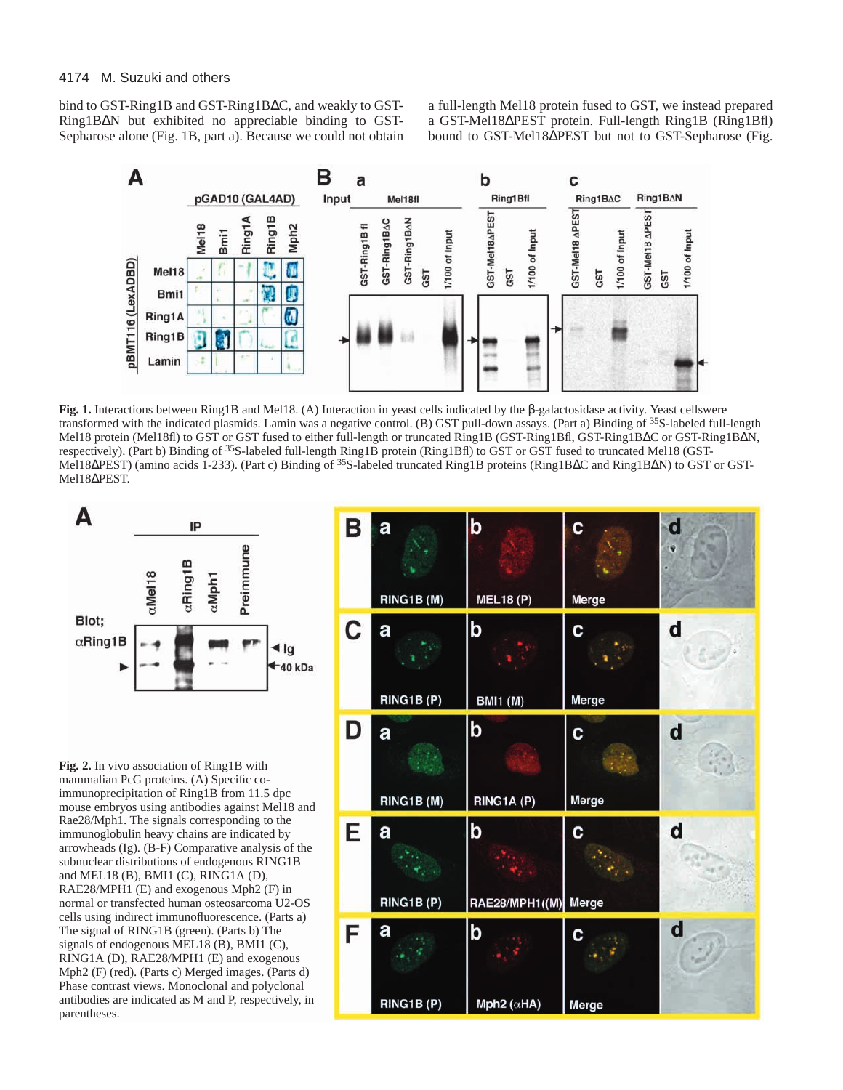bind to GST-Ring1B and GST-Ring1B∆C, and weakly to GST-Ring1B∆N but exhibited no appreciable binding to GST-Sepharose alone (Fig. 1B, part a). Because we could not obtain a full-length Mel18 protein fused to GST, we instead prepared a GST-Mel18∆PEST protein. Full-length Ring1B (Ring1Bfl) bound to GST-Mel18∆PEST but not to GST-Sepharose (Fig.



**Fig. 1.** Interactions between Ring1B and Mel18. (A) Interaction in yeast cells indicated by the β-galactosidase activity. Yeast cellswere transformed with the indicated plasmids. Lamin was a negative control. (B) GST pull-down assays. (Part a) Binding of <sup>35</sup>S-labeled full-length Mel18 protein (Mel18fl) to GST or GST fused to either full-length or truncated Ring1B (GST-Ring1Bfl, GST-Ring1B∆C or GST-Ring1B∆N, respectively). (Part b) Binding of <sup>35</sup>S-labeled full-length Ring1B protein (Ring1Bfl) to GST or GST fused to truncated Mel18 (GST-Mel18∆PEST) (amino acids 1-233). (Part c) Binding of <sup>35</sup>S-labeled truncated Ring1B proteins (Ring1B∆C and Ring1B∆N) to GST or GST-Mel18∆PEST.



**Fig. 2.** In vivo association of Ring1B with mammalian PcG proteins. (A) Specific coimmunoprecipitation of Ring1B from 11.5 dpc mouse embryos using antibodies against Mel18 and Rae28/Mph1. The signals corresponding to the immunoglobulin heavy chains are indicated by arrowheads (Ig). (B-F) Comparative analysis of the subnuclear distributions of endogenous RING1B and MEL18 (B), BMI1 (C), RING1A (D), RAE28/MPH1 (E) and exogenous Mph2 (F) in normal or transfected human osteosarcoma U2-OS cells using indirect immunofluorescence. (Parts a) The signal of RING1B (green). (Parts b) The signals of endogenous MEL18 (B), BMI1 (C), RING1A (D), RAE28/MPH1 (E) and exogenous Mph2 (F) (red). (Parts c) Merged images. (Parts d) Phase contrast views. Monoclonal and polyclonal antibodies are indicated as M and P, respectively, in parentheses.

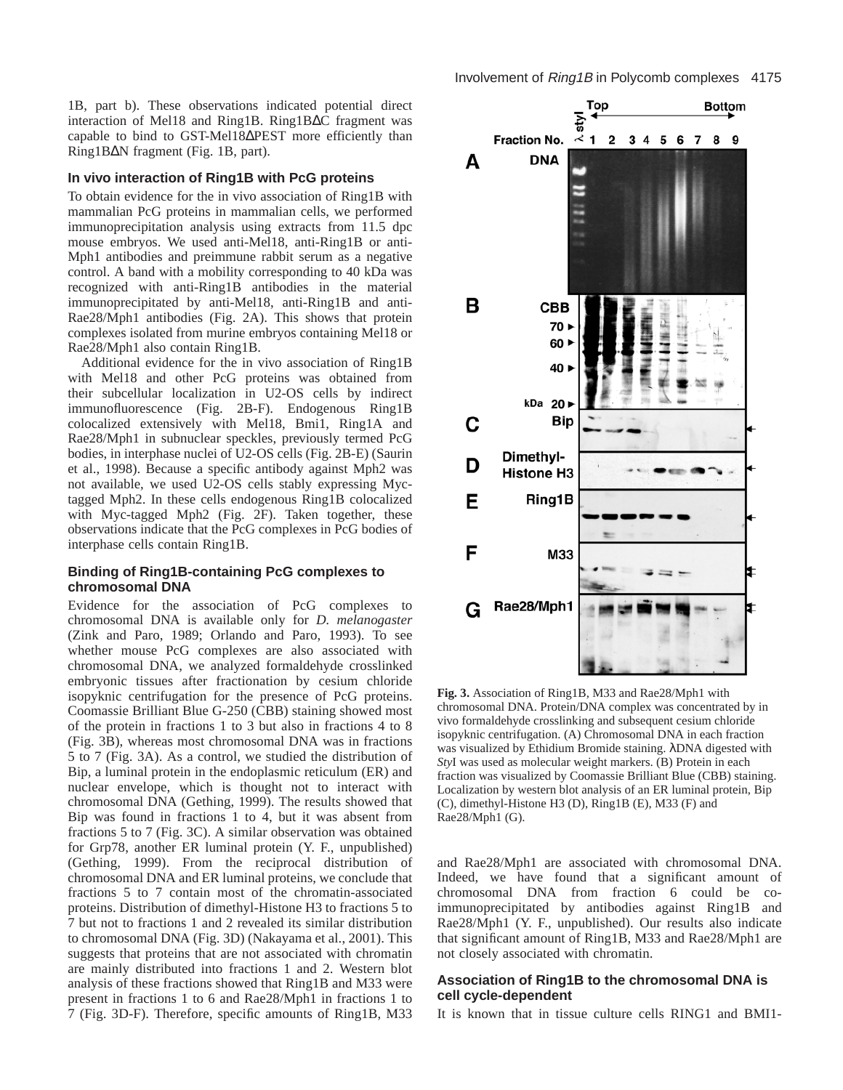1B, part b). These observations indicated potential direct interaction of Mel18 and Ring1B. Ring1B∆C fragment was capable to bind to GST-Mel18∆PEST more efficiently than Ring1B∆N fragment (Fig. 1B, part).

#### **In vivo interaction of Ring1B with PcG proteins**

To obtain evidence for the in vivo association of Ring1B with mammalian PcG proteins in mammalian cells, we performed immunoprecipitation analysis using extracts from 11.5 dpc mouse embryos. We used anti-Mel18, anti-Ring1B or anti-Mph1 antibodies and preimmune rabbit serum as a negative control. A band with a mobility corresponding to 40 kDa was recognized with anti-Ring1B antibodies in the material immunoprecipitated by anti-Mel18, anti-Ring1B and anti-Rae28/Mph1 antibodies (Fig. 2A). This shows that protein complexes isolated from murine embryos containing Mel18 or Rae28/Mph1 also contain Ring1B.

Additional evidence for the in vivo association of Ring1B with Mel18 and other PcG proteins was obtained from their subcellular localization in U2-OS cells by indirect immunofluorescence (Fig. 2B-F). Endogenous Ring1B colocalized extensively with Mel18, Bmi1, Ring1A and Rae28/Mph1 in subnuclear speckles, previously termed PcG bodies, in interphase nuclei of U2-OS cells (Fig. 2B-E) (Saurin et al., 1998). Because a specific antibody against Mph2 was not available, we used U2-OS cells stably expressing Myctagged Mph2. In these cells endogenous Ring1B colocalized with Myc-tagged Mph2 (Fig. 2F). Taken together, these observations indicate that the PcG complexes in PcG bodies of interphase cells contain Ring1B.

#### **Binding of Ring1B-containing PcG complexes to chromosomal DNA**

Evidence for the association of PcG complexes to chromosomal DNA is available only for *D. melanogaster* (Zink and Paro, 1989; Orlando and Paro, 1993). To see whether mouse PcG complexes are also associated with chromosomal DNA, we analyzed formaldehyde crosslinked embryonic tissues after fractionation by cesium chloride isopyknic centrifugation for the presence of PcG proteins. Coomassie Brilliant Blue G-250 (CBB) staining showed most of the protein in fractions 1 to 3 but also in fractions 4 to 8 (Fig. 3B), whereas most chromosomal DNA was in fractions 5 to 7 (Fig. 3A). As a control, we studied the distribution of Bip, a luminal protein in the endoplasmic reticulum (ER) and nuclear envelope, which is thought not to interact with chromosomal DNA (Gething, 1999). The results showed that Bip was found in fractions 1 to 4, but it was absent from fractions 5 to 7 (Fig. 3C). A similar observation was obtained for Grp78, another ER luminal protein (Y. F., unpublished) (Gething, 1999). From the reciprocal distribution of chromosomal DNA and ER luminal proteins, we conclude that fractions 5 to 7 contain most of the chromatin-associated proteins. Distribution of dimethyl-Histone H3 to fractions 5 to 7 but not to fractions 1 and 2 revealed its similar distribution to chromosomal DNA (Fig. 3D) (Nakayama et al., 2001). This suggests that proteins that are not associated with chromatin are mainly distributed into fractions 1 and 2. Western blot analysis of these fractions showed that Ring1B and M33 were present in fractions 1 to 6 and Rae28/Mph1 in fractions 1 to 7 (Fig. 3D-F). Therefore, specific amounts of Ring1B, M33



**Fig. 3.** Association of Ring1B, M33 and Rae28/Mph1 with chromosomal DNA. Protein/DNA complex was concentrated by in vivo formaldehyde crosslinking and subsequent cesium chloride isopyknic centrifugation. (A) Chromosomal DNA in each fraction was visualized by Ethidium Bromide staining. λDNA digested with *Sty*I was used as molecular weight markers. (B) Protein in each fraction was visualized by Coomassie Brilliant Blue (CBB) staining. Localization by western blot analysis of an ER luminal protein, Bip (C), dimethyl-Histone H3 (D), Ring1B (E), M33 (F) and Rae28/Mph1 (G).

and Rae28/Mph1 are associated with chromosomal DNA. Indeed, we have found that a significant amount of chromosomal DNA from fraction 6 could be coimmunoprecipitated by antibodies against Ring1B and Rae28/Mph1 (Y. F., unpublished). Our results also indicate that significant amount of Ring1B, M33 and Rae28/Mph1 are not closely associated with chromatin.

#### **Association of Ring1B to the chromosomal DNA is cell cycle-dependent**

It is known that in tissue culture cells RING1 and BMI1-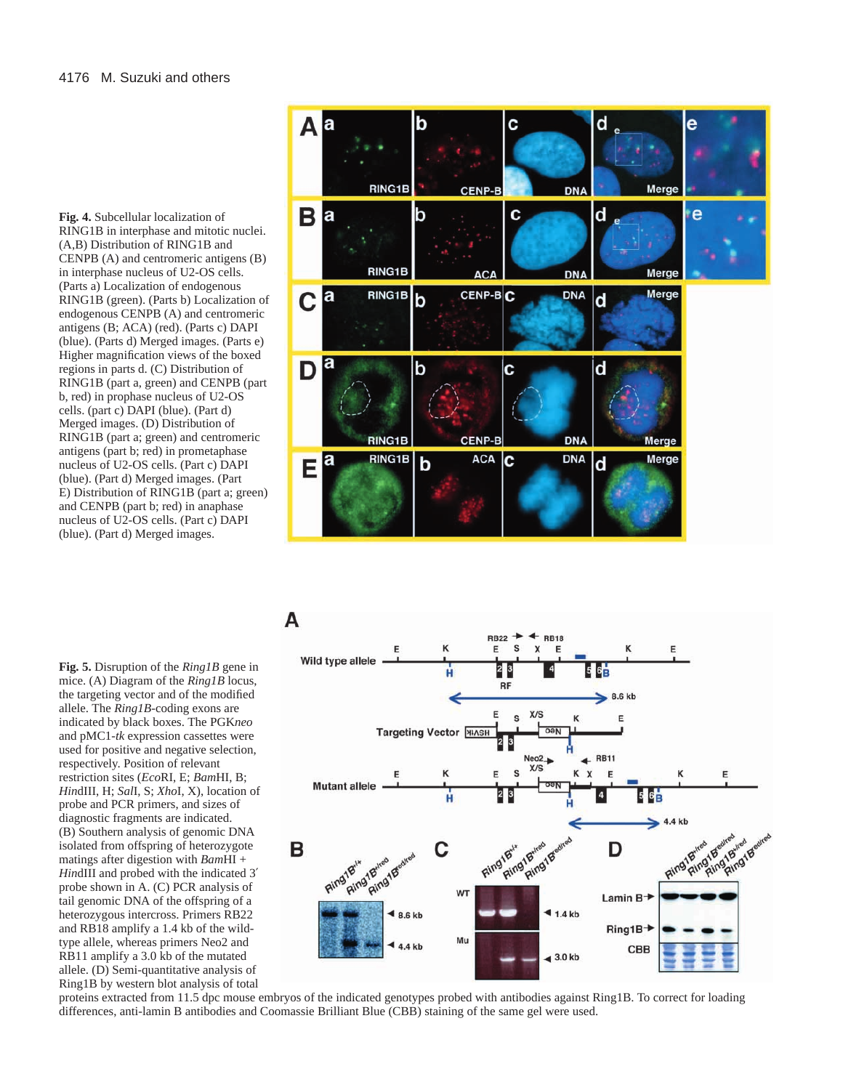**Fig. 4.** Subcellular localization of RING1B in interphase and mitotic nuclei. (A,B) Distribution of RING1B and CENPB (A) and centromeric antigens (B) in interphase nucleus of U2-OS cells. (Parts a) Localization of endogenous RING1B (green). (Parts b) Localization of endogenous CENPB (A) and centromeric antigens (B; ACA) (red). (Parts c) DAPI (blue). (Parts d) Merged images. (Parts e) Higher magnification views of the boxed regions in parts d. (C) Distribution of RING1B (part a, green) and CENPB (part b, red) in prophase nucleus of U2-OS cells. (part c) DAPI (blue). (Part d) Merged images. (D) Distribution of RING1B (part a; green) and centromeric antigens (part b; red) in prometaphase nucleus of U2-OS cells. (Part c) DAPI (blue). (Part d) Merged images. (Part E) Distribution of RING1B (part a; green) and CENPB (part b; red) in anaphase nucleus of U2-OS cells. (Part c) DAPI (blue). (Part d) Merged images.

**Fig. 5.** Disruption of the *Ring1B* gene in mice. (A) Diagram of the *Ring1B* locus, the targeting vector and of the modified allele. The *Ring1B*-coding exons are indicated by black boxes. The PGK*neo* and pMC1-*tk* expression cassettes were used for positive and negative selection, respectively. Position of relevant restriction sites (*Eco*RI, E; *Bam*HI, B; *Hin*dIII, H; *Sal*I, S; *Xho*I, X), location of probe and PCR primers, and sizes of diagnostic fragments are indicated. (B) Southern analysis of genomic DNA isolated from offspring of heterozygote matings after digestion with *Bam*HI + *Hin*dIII and probed with the indicated 3′ probe shown in A. (C) PCR analysis of tail genomic DNA of the offspring of a heterozygous intercross. Primers RB22 and RB18 amplify a 1.4 kb of the wildtype allele, whereas primers Neo2 and RB11 amplify a 3.0 kb of the mutated allele. (D) Semi-quantitative analysis of Ring1B by western blot analysis of total





proteins extracted from 11.5 dpc mouse embryos of the indicated genotypes probed with antibodies against Ring1B. To correct for loading differences, anti-lamin B antibodies and Coomassie Brilliant Blue (CBB) staining of the same gel were used.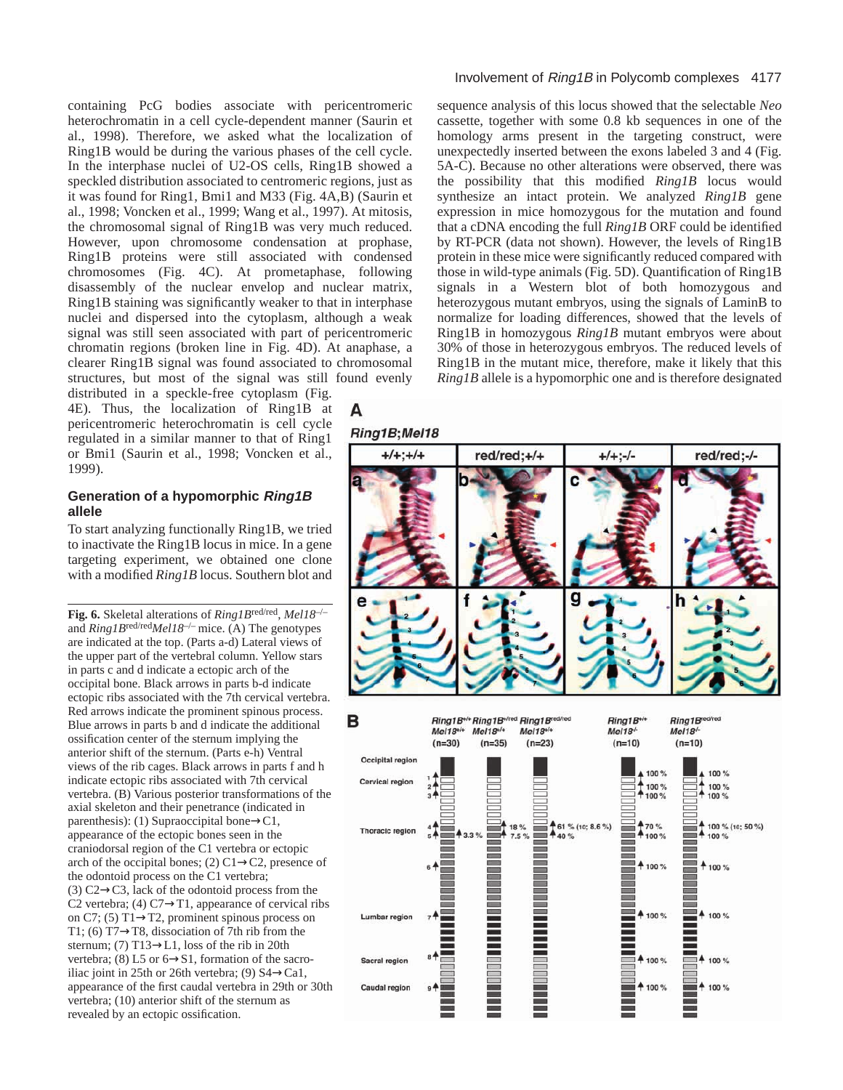containing PcG bodies associate with pericentromeric heterochromatin in a cell cycle-dependent manner (Saurin et al., 1998). Therefore, we asked what the localization of Ring1B would be during the various phases of the cell cycle. In the interphase nuclei of U2-OS cells, Ring1B showed a speckled distribution associated to centromeric regions, just as it was found for Ring1, Bmi1 and M33 (Fig. 4A,B) (Saurin et al., 1998; Voncken et al., 1999; Wang et al., 1997). At mitosis, the chromosomal signal of Ring1B was very much reduced. However, upon chromosome condensation at prophase, Ring1B proteins were still associated with condensed chromosomes (Fig. 4C). At prometaphase, following disassembly of the nuclear envelop and nuclear matrix, Ring1B staining was significantly weaker to that in interphase nuclei and dispersed into the cytoplasm, although a weak signal was still seen associated with part of pericentromeric chromatin regions (broken line in Fig. 4D). At anaphase, a clearer Ring1B signal was found associated to chromosomal structures, but most of the signal was still found evenly

distributed in a speckle-free cytoplasm (Fig. 4E). Thus, the localization of Ring1B at pericentromeric heterochromatin is cell cycle regulated in a similar manner to that of Ring1 or Bmi1 (Saurin et al., 1998; Voncken et al., 1999).

## **Generation of a hypomorphic Ring1B allele**

To start analyzing functionally Ring1B, we tried to inactivate the Ring1B locus in mice. In a gene targeting experiment, we obtained one clone with a modified *Ring1B* locus. Southern blot and

**Fig. 6.** Skeletal alterations of *Ring1B*red/red, *Mel18*–/– and *Ring1B*red/red*Mel18*–/– mice. (A) The genotypes are indicated at the top. (Parts a-d) Lateral views of the upper part of the vertebral column. Yellow stars in parts c and d indicate a ectopic arch of the occipital bone. Black arrows in parts b-d indicate ectopic ribs associated with the 7th cervical vertebra. Red arrows indicate the prominent spinous process. Blue arrows in parts b and d indicate the additional ossification center of the sternum implying the anterior shift of the sternum. (Parts e-h) Ventral views of the rib cages. Black arrows in parts f and h indicate ectopic ribs associated with 7th cervical vertebra. (B) Various posterior transformations of the axial skeleton and their penetrance (indicated in parenthesis): (1) Supraoccipital bone→C1, appearance of the ectopic bones seen in the craniodorsal region of the C1 vertebra or ectopic arch of the occipital bones; (2)  $C1 \rightarrow C2$ , presence of the odontoid process on the C1 vertebra; (3)  $C2 \rightarrow C3$ , lack of the odontoid process from the C2 vertebra; (4) C7 $\rightarrow$ T1, appearance of cervical ribs on C7; (5) T1→T2, prominent spinous process on T1; (6) T7→T8, dissociation of 7th rib from the sternum; (7) T13→L1, loss of the rib in 20th vertebra; (8) L5 or  $6 \rightarrow S1$ , formation of the sacroiliac joint in 25th or 26th vertebra; (9)  $S4 \rightarrow Ca1$ , appearance of the first caudal vertebra in 29th or 30th vertebra; (10) anterior shift of the sternum as revealed by an ectopic ossification.

#### Involvement of Ring1B in Polycomb complexes 4177

sequence analysis of this locus showed that the selectable *Neo* cassette, together with some 0.8 kb sequences in one of the homology arms present in the targeting construct, were unexpectedly inserted between the exons labeled 3 and 4 (Fig. 5A-C). Because no other alterations were observed, there was the possibility that this modified *Ring1B* locus would synthesize an intact protein. We analyzed *Ring1B* gene expression in mice homozygous for the mutation and found that a cDNA encoding the full *Ring1B* ORF could be identified by RT-PCR (data not shown). However, the levels of Ring1B protein in these mice were significantly reduced compared with those in wild-type animals (Fig. 5D). Quantification of Ring1B signals in a Western blot of both homozygous and heterozygous mutant embryos, using the signals of LaminB to normalize for loading differences, showed that the levels of Ring1B in homozygous *Ring1B* mutant embryos were about 30% of those in heterozygous embryos. The reduced levels of Ring1B in the mutant mice, therefore, make it likely that this *Ring1B* allele is a hypomorphic one and is therefore designated

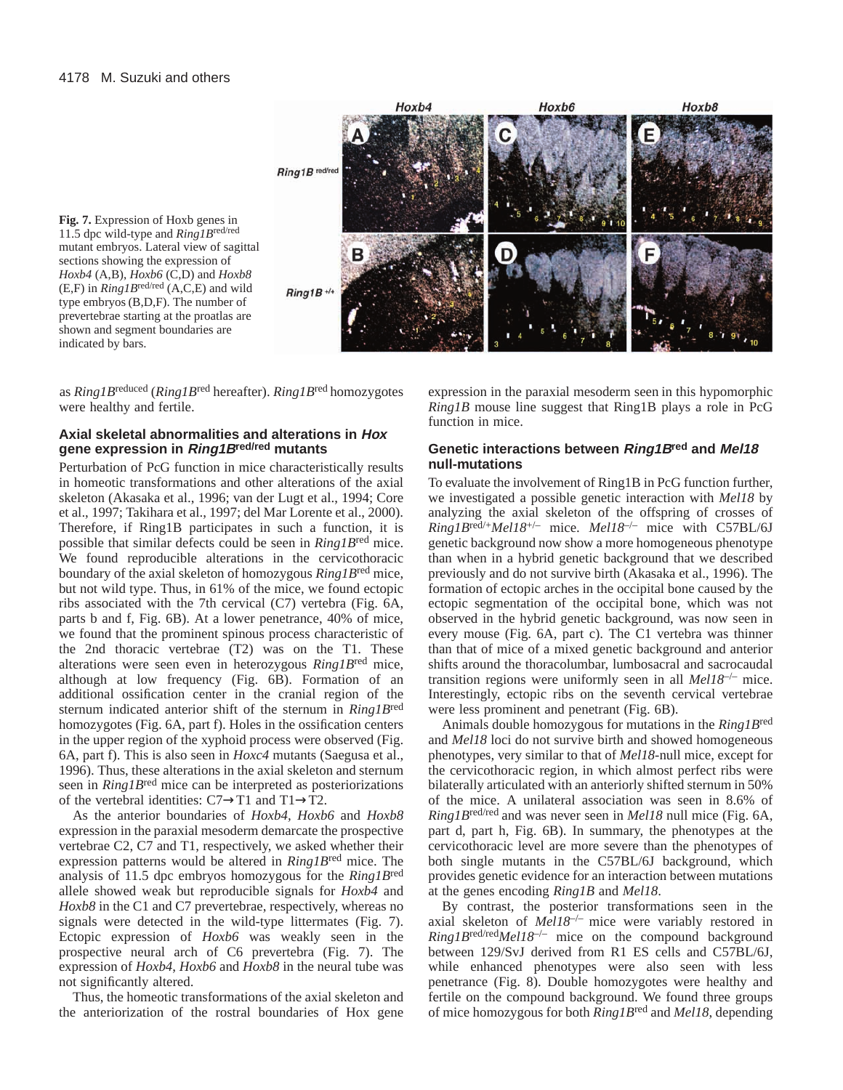



as *Ring1B*reduced (*Ring1B*red hereafter). *Ring1B*red homozygotes were healthy and fertile.

## **Axial skeletal abnormalities and alterations in Hox gene expression in Ring1Bred/red mutants**

Perturbation of PcG function in mice characteristically results in homeotic transformations and other alterations of the axial skeleton (Akasaka et al., 1996; van der Lugt et al., 1994; Core et al., 1997; Takihara et al., 1997; del Mar Lorente et al., 2000). Therefore, if Ring1B participates in such a function, it is possible that similar defects could be seen in *Ring1B*red mice. We found reproducible alterations in the cervicothoracic boundary of the axial skeleton of homozygous *Ring1B*red mice, but not wild type. Thus, in 61% of the mice, we found ectopic ribs associated with the 7th cervical (C7) vertebra (Fig. 6A, parts b and f, Fig. 6B). At a lower penetrance, 40% of mice, we found that the prominent spinous process characteristic of the 2nd thoracic vertebrae (T2) was on the T1. These alterations were seen even in heterozygous *Ring1B*red mice, although at low frequency (Fig. 6B). Formation of an additional ossification center in the cranial region of the sternum indicated anterior shift of the sternum in *Ring1B*red homozygotes (Fig. 6A, part f). Holes in the ossification centers in the upper region of the xyphoid process were observed (Fig. 6A, part f). This is also seen in *Hoxc4* mutants (Saegusa et al., 1996). Thus, these alterations in the axial skeleton and sternum seen in *Ring1B*red mice can be interpreted as posteriorizations of the vertebral identities:  $C7 \rightarrow T1$  and  $T1 \rightarrow T2$ .

As the anterior boundaries of *Hoxb4, Hoxb6* and *Hoxb8* expression in the paraxial mesoderm demarcate the prospective vertebrae C2, C7 and T1, respectively, we asked whether their expression patterns would be altered in *Ring1B*red mice. The analysis of 11.5 dpc embryos homozygous for the *Ring1B*red allele showed weak but reproducible signals for *Hoxb4* and *Hoxb8* in the C1 and C7 prevertebrae, respectively, whereas no signals were detected in the wild-type littermates (Fig. 7). Ectopic expression of *Hoxb6* was weakly seen in the prospective neural arch of C6 prevertebra (Fig. 7). The expression of *Hoxb4*, *Hoxb6* and *Hoxb8* in the neural tube was not significantly altered.

Thus, the homeotic transformations of the axial skeleton and the anteriorization of the rostral boundaries of Hox gene expression in the paraxial mesoderm seen in this hypomorphic *Ring1B* mouse line suggest that Ring1B plays a role in PcG function in mice.

## **Genetic interactions between Ring1Bred and Mel18 null-mutations**

To evaluate the involvement of Ring1B in PcG function further, we investigated a possible genetic interaction with *Mel18* by analyzing the axial skeleton of the offspring of crosses of *Ring1B*red/+*Mel18*+/– mice. *Mel18*–/– mice with C57BL/6J genetic background now show a more homogeneous phenotype than when in a hybrid genetic background that we described previously and do not survive birth (Akasaka et al., 1996). The formation of ectopic arches in the occipital bone caused by the ectopic segmentation of the occipital bone, which was not observed in the hybrid genetic background, was now seen in every mouse (Fig. 6A, part c). The C1 vertebra was thinner than that of mice of a mixed genetic background and anterior shifts around the thoracolumbar, lumbosacral and sacrocaudal transition regions were uniformly seen in all *Mel18*–/– mice. Interestingly, ectopic ribs on the seventh cervical vertebrae were less prominent and penetrant (Fig. 6B).

Animals double homozygous for mutations in the *Ring1B*red and *Mel18* loci do not survive birth and showed homogeneous phenotypes, very similar to that of *Mel18*-null mice, except for the cervicothoracic region, in which almost perfect ribs were bilaterally articulated with an anteriorly shifted sternum in 50% of the mice. A unilateral association was seen in 8.6% of *Ring1B*red/red and was never seen in *Mel18* null mice (Fig. 6A, part d, part h, Fig. 6B). In summary, the phenotypes at the cervicothoracic level are more severe than the phenotypes of both single mutants in the C57BL/6J background, which provides genetic evidence for an interaction between mutations at the genes encoding *Ring1B* and *Mel18*.

By contrast, the posterior transformations seen in the axial skeleton of *Mel18*–/– mice were variably restored in *Ring1B*red/red*Mel18*–/– mice on the compound background between 129/SvJ derived from R1 ES cells and C57BL/6J, while enhanced phenotypes were also seen with less penetrance (Fig. 8). Double homozygotes were healthy and fertile on the compound background. We found three groups of mice homozygous for both *Ring1B*red and *Mel18*, depending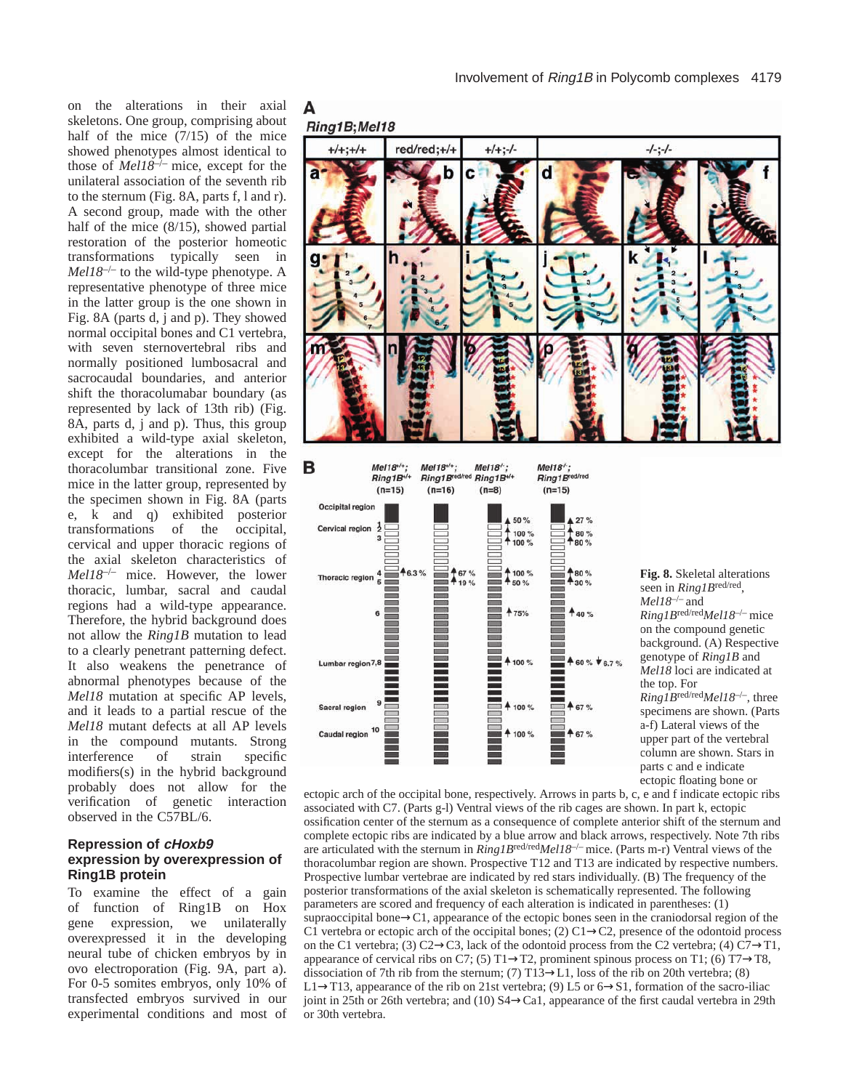

Α

#### **Repression of cHoxb9 expression by overexpression of Ring1B protein**

To examine the effect of a gain of function of Ring1B on Hox gene expression, we unilaterally overexpressed it in the developing neural tube of chicken embryos by in ovo electroporation (Fig. 9A, part a). For 0-5 somites embryos, only 10% of transfected embryos survived in our experimental conditions and most of



*Ring1B*red/red*Mel18*–/– mice on the compound genetic background. (A) Respective genotype of *Ring1B* and *Mel18* loci are indicated at *Ring1B*red/red*Mel18*–/–, three specimens are shown. (Parts a-f) Lateral views of the upper part of the vertebral column are shown. Stars in parts c and e indicate ectopic floating bone or

ectopic arch of the occipital bone, respectively. Arrows in parts b, c, e and f indicate ectopic ribs associated with C7. (Parts g-l) Ventral views of the rib cages are shown. In part k, ectopic ossification center of the sternum as a consequence of complete anterior shift of the sternum and complete ectopic ribs are indicated by a blue arrow and black arrows, respectively. Note 7th ribs are articulated with the sternum in *Ring1B*red/red*Mel18*–/– mice. (Parts m-r) Ventral views of the thoracolumbar region are shown. Prospective T12 and T13 are indicated by respective numbers. Prospective lumbar vertebrae are indicated by red stars individually. (B) The frequency of the posterior transformations of the axial skeleton is schematically represented. The following parameters are scored and frequency of each alteration is indicated in parentheses: (1) supraoccipital bone→C1, appearance of the ectopic bones seen in the craniodorsal region of the C1 vertebra or ectopic arch of the occipital bones; (2) C1 $\rightarrow$ C2, presence of the odontoid process on the C1 vertebra; (3) C2→C3, lack of the odontoid process from the C2 vertebra; (4) C7→T1, appearance of cervical ribs on C7; (5) T1 $\rightarrow$ T2, prominent spinous process on T1; (6) T7 $\rightarrow$ T8, dissociation of 7th rib from the sternum; (7) T13 $\rightarrow$ L1, loss of the rib on 20th vertebra; (8) L1 $\rightarrow$ T13, appearance of the rib on 21st vertebra; (9) L5 or 6 $\rightarrow$ S1, formation of the sacro-iliac joint in 25th or 26th vertebra; and (10) S4→Ca1, appearance of the first caudal vertebra in 29th or 30th vertebra.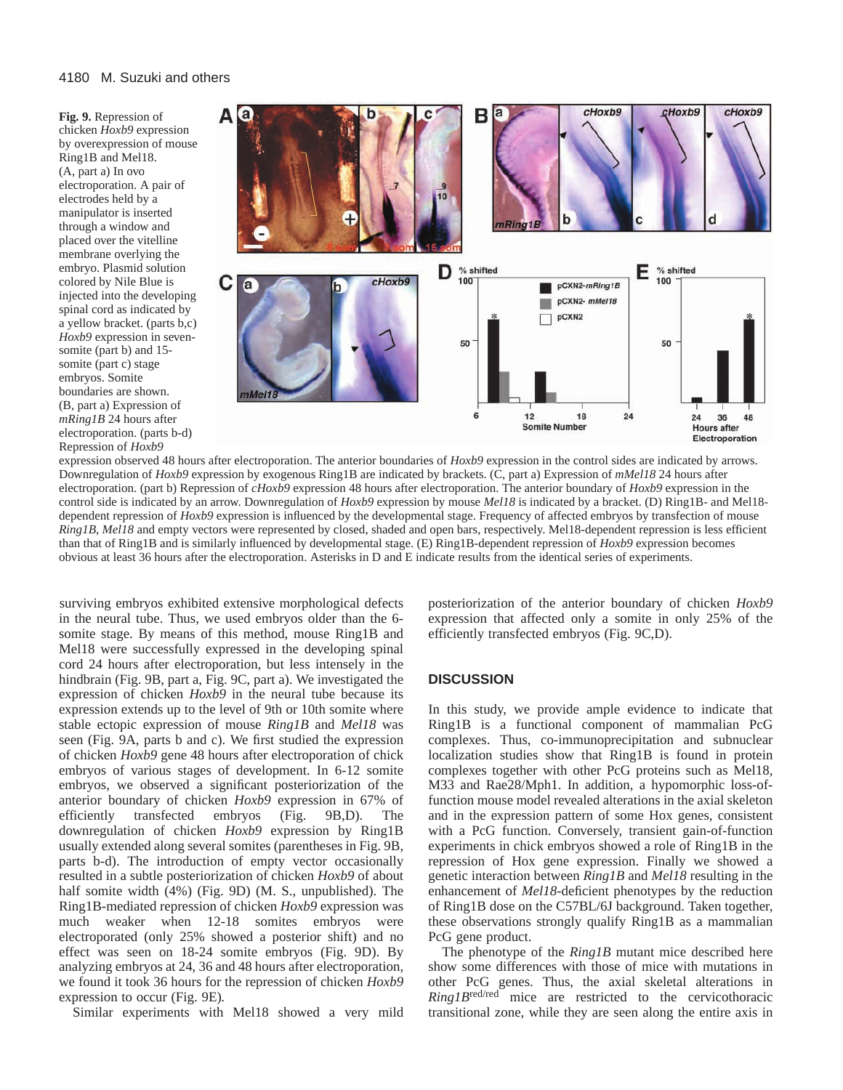**Fig. 9.** Repression of chicken *Hoxb9* expression by overexpression of mouse Ring1B and Mel18. (A, part a) In ovo electroporation. A pair of electrodes held by a manipulator is inserted through a window and placed over the vitelline membrane overlying the embryo. Plasmid solution colored by Nile Blue is injected into the developing spinal cord as indicated by a yellow bracket. (parts b,c) *Hoxb9* expression in sevensomite (part b) and 15 somite (part c) stage embryos. Somite boundaries are shown. (B, part a) Expression of *mRing1B* 24 hours after electroporation. (parts b-d) Repression of *Hoxb9*



expression observed 48 hours after electroporation. The anterior boundaries of *Hoxb9* expression in the control sides are indicated by arrows. Downregulation of *Hoxb9* expression by exogenous Ring1B are indicated by brackets. (C, part a) Expression of *mMel18* 24 hours after electroporation. (part b) Repression of *cHoxb9* expression 48 hours after electroporation. The anterior boundary of *Hoxb9* expression in the control side is indicated by an arrow. Downregulation of *Hoxb9* expression by mouse *Mel18* is indicated by a bracket. (D) Ring1B- and Mel18 dependent repression of *Hoxb9* expression is influenced by the developmental stage. Frequency of affected embryos by transfection of mouse *Ring1B*, *Mel18* and empty vectors were represented by closed, shaded and open bars, respectively. Mel18-dependent repression is less efficient than that of Ring1B and is similarly influenced by developmental stage. (E) Ring1B-dependent repression of *Hoxb9* expression becomes obvious at least 36 hours after the electroporation. Asterisks in D and E indicate results from the identical series of experiments.

surviving embryos exhibited extensive morphological defects in the neural tube. Thus, we used embryos older than the 6 somite stage. By means of this method, mouse Ring1B and Mel18 were successfully expressed in the developing spinal cord 24 hours after electroporation, but less intensely in the hindbrain (Fig. 9B, part a, Fig. 9C, part a). We investigated the expression of chicken *Hoxb9* in the neural tube because its expression extends up to the level of 9th or 10th somite where stable ectopic expression of mouse *Ring1B* and *Mel18* was seen (Fig. 9A, parts b and c). We first studied the expression of chicken *Hoxb9* gene 48 hours after electroporation of chick embryos of various stages of development. In 6-12 somite embryos, we observed a significant posteriorization of the anterior boundary of chicken *Hoxb9* expression in 67% of efficiently transfected embryos (Fig. 9B,D). The downregulation of chicken *Hoxb9* expression by Ring1B usually extended along several somites (parentheses in Fig. 9B, parts b-d). The introduction of empty vector occasionally resulted in a subtle posteriorization of chicken *Hoxb9* of about half somite width (4%) (Fig. 9D) (M. S., unpublished). The Ring1B-mediated repression of chicken *Hoxb9* expression was much weaker when 12-18 somites embryos were electroporated (only 25% showed a posterior shift) and no effect was seen on 18-24 somite embryos (Fig. 9D). By analyzing embryos at 24, 36 and 48 hours after electroporation, we found it took 36 hours for the repression of chicken *Hoxb9* expression to occur (Fig. 9E)*.*

Similar experiments with Mel18 showed a very mild

posteriorization of the anterior boundary of chicken *Hoxb9* expression that affected only a somite in only 25% of the efficiently transfected embryos (Fig. 9C,D).

#### **DISCUSSION**

In this study, we provide ample evidence to indicate that Ring1B is a functional component of mammalian PcG complexes. Thus, co-immunoprecipitation and subnuclear localization studies show that Ring1B is found in protein complexes together with other PcG proteins such as Mel18, M33 and Rae28/Mph1. In addition, a hypomorphic loss-offunction mouse model revealed alterations in the axial skeleton and in the expression pattern of some Hox genes, consistent with a PcG function. Conversely, transient gain-of-function experiments in chick embryos showed a role of Ring1B in the repression of Hox gene expression. Finally we showed a genetic interaction between *Ring1B* and *Mel18* resulting in the enhancement of *Mel18*-deficient phenotypes by the reduction of Ring1B dose on the C57BL/6J background. Taken together, these observations strongly qualify Ring1B as a mammalian PcG gene product.

The phenotype of the *Ring1B* mutant mice described here show some differences with those of mice with mutations in other PcG genes. Thus, the axial skeletal alterations in *Ring1B*red/red mice are restricted to the cervicothoracic transitional zone, while they are seen along the entire axis in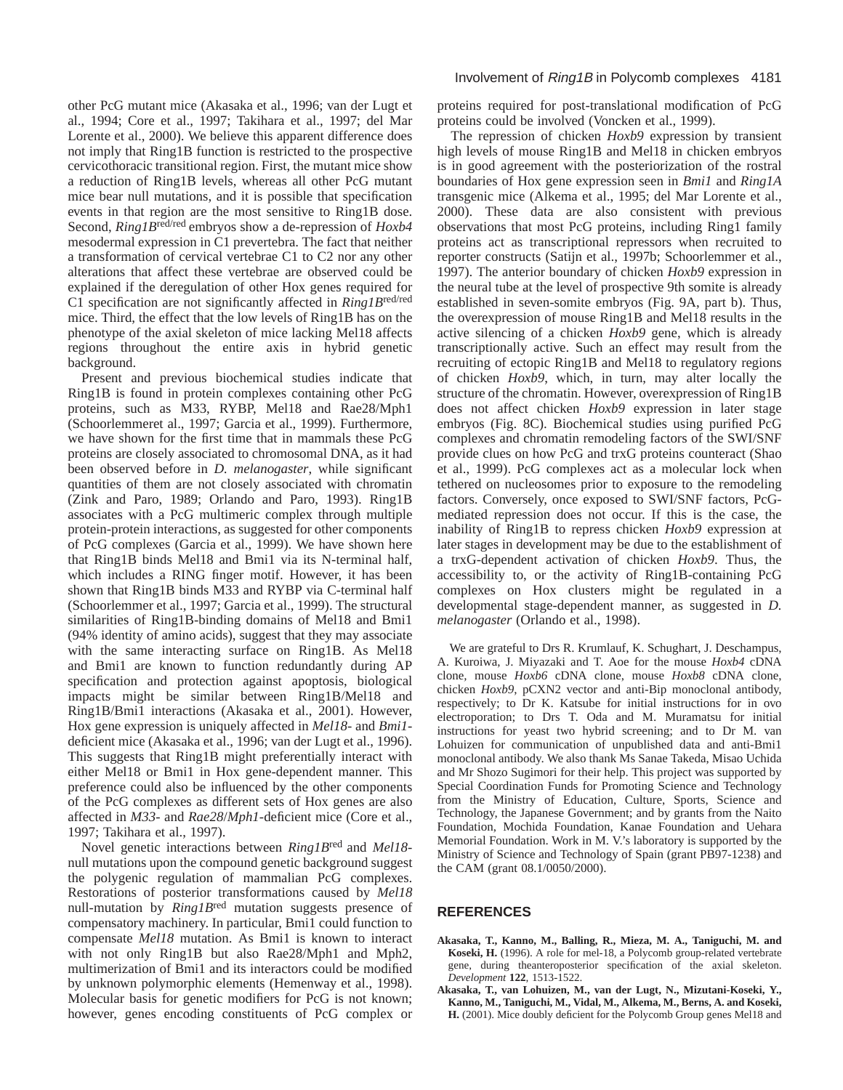other PcG mutant mice (Akasaka et al., 1996; van der Lugt et al., 1994; Core et al., 1997; Takihara et al., 1997; del Mar Lorente et al., 2000). We believe this apparent difference does not imply that Ring1B function is restricted to the prospective cervicothoracic transitional region. First, the mutant mice show a reduction of Ring1B levels, whereas all other PcG mutant mice bear null mutations, and it is possible that specification events in that region are the most sensitive to Ring1B dose. Second, *Ring1B*red/red embryos show a de-repression of *Hoxb4* mesodermal expression in C1 prevertebra. The fact that neither a transformation of cervical vertebrae C1 to C2 nor any other alterations that affect these vertebrae are observed could be explained if the deregulation of other Hox genes required for C1 specification are not significantly affected in *Ring1B*red/red mice. Third, the effect that the low levels of Ring1B has on the phenotype of the axial skeleton of mice lacking Mel18 affects regions throughout the entire axis in hybrid genetic background.

Present and previous biochemical studies indicate that Ring1B is found in protein complexes containing other PcG proteins, such as M33, RYBP, Mel18 and Rae28/Mph1 (Schoorlemmeret al., 1997; Garcia et al., 1999). Furthermore, we have shown for the first time that in mammals these PcG proteins are closely associated to chromosomal DNA, as it had been observed before in *D. melanogaster*, while significant quantities of them are not closely associated with chromatin (Zink and Paro, 1989; Orlando and Paro, 1993). Ring1B associates with a PcG multimeric complex through multiple protein-protein interactions, as suggested for other components of PcG complexes (Garcia et al., 1999). We have shown here that Ring1B binds Mel18 and Bmi1 via its N-terminal half, which includes a RING finger motif. However, it has been shown that Ring1B binds M33 and RYBP via C-terminal half (Schoorlemmer et al., 1997; Garcia et al., 1999). The structural similarities of Ring1B-binding domains of Mel18 and Bmi1 (94% identity of amino acids), suggest that they may associate with the same interacting surface on Ring1B. As Mel18 and Bmi1 are known to function redundantly during AP specification and protection against apoptosis, biological impacts might be similar between Ring1B/Mel18 and Ring1B/Bmi1 interactions (Akasaka et al., 2001). However, Hox gene expression is uniquely affected in *Mel18*- and *Bmi1* deficient mice (Akasaka et al., 1996; van der Lugt et al., 1996). This suggests that Ring1B might preferentially interact with either Mel18 or Bmi1 in Hox gene-dependent manner. This preference could also be influenced by the other components of the PcG complexes as different sets of Hox genes are also affected in *M33*- and *Rae28*/*Mph1*-deficient mice (Core et al., 1997; Takihara et al., 1997).

Novel genetic interactions between *Ring1B*red and *Mel18* null mutations upon the compound genetic background suggest the polygenic regulation of mammalian PcG complexes. Restorations of posterior transformations caused by *Mel18* null-mutation by *Ring1B*red mutation suggests presence of compensatory machinery. In particular, Bmi1 could function to compensate *Mel18* mutation. As Bmi1 is known to interact with not only Ring1B but also Rae28/Mph1 and Mph2, multimerization of Bmi1 and its interactors could be modified by unknown polymorphic elements (Hemenway et al., 1998). Molecular basis for genetic modifiers for PcG is not known; however, genes encoding constituents of PcG complex or

proteins required for post-translational modification of PcG proteins could be involved (Voncken et al., 1999).

The repression of chicken *Hoxb9* expression by transient high levels of mouse Ring1B and Mel18 in chicken embryos is in good agreement with the posteriorization of the rostral boundaries of Hox gene expression seen in *Bmi1* and *Ring1A* transgenic mice (Alkema et al., 1995; del Mar Lorente et al., 2000). These data are also consistent with previous observations that most PcG proteins, including Ring1 family proteins act as transcriptional repressors when recruited to reporter constructs (Satijn et al., 1997b; Schoorlemmer et al., 1997). The anterior boundary of chicken *Hoxb9* expression in the neural tube at the level of prospective 9th somite is already established in seven-somite embryos (Fig. 9A, part b). Thus, the overexpression of mouse Ring1B and Mel18 results in the active silencing of a chicken *Hoxb9* gene, which is already transcriptionally active. Such an effect may result from the recruiting of ectopic Ring1B and Mel18 to regulatory regions of chicken *Hoxb9*, which, in turn, may alter locally the structure of the chromatin. However, overexpression of Ring1B does not affect chicken *Hoxb9* expression in later stage embryos (Fig. 8C). Biochemical studies using purified PcG complexes and chromatin remodeling factors of the SWI/SNF provide clues on how PcG and trxG proteins counteract (Shao et al., 1999). PcG complexes act as a molecular lock when tethered on nucleosomes prior to exposure to the remodeling factors. Conversely, once exposed to SWI/SNF factors, PcGmediated repression does not occur. If this is the case, the inability of Ring1B to repress chicken *Hoxb9* expression at later stages in development may be due to the establishment of a trxG-dependent activation of chicken *Hoxb9*. Thus, the accessibility to, or the activity of Ring1B-containing PcG complexes on Hox clusters might be regulated in a developmental stage-dependent manner, as suggested in *D. melanogaster* (Orlando et al., 1998).

We are grateful to Drs R. Krumlauf, K. Schughart, J. Deschampus, A. Kuroiwa, J. Miyazaki and T. Aoe for the mouse *Hoxb4* cDNA clone*,* mouse *Hoxb6* cDNA clone, mouse *Hoxb8* cDNA clone, chicken *Hoxb9*, pCXN2 vector and anti-Bip monoclonal antibody, respectively; to Dr K. Katsube for initial instructions for in ovo electroporation; to Drs T. Oda and M. Muramatsu for initial instructions for yeast two hybrid screening; and to Dr M. van Lohuizen for communication of unpublished data and anti-Bmi1 monoclonal antibody. We also thank Ms Sanae Takeda, Misao Uchida and Mr Shozo Sugimori for their help. This project was supported by Special Coordination Funds for Promoting Science and Technology from the Ministry of Education, Culture, Sports, Science and Technology, the Japanese Government; and by grants from the Naito Foundation, Mochida Foundation, Kanae Foundation and Uehara Memorial Foundation. Work in M. V.'s laboratory is supported by the Ministry of Science and Technology of Spain (grant PB97-1238) and the CAM (grant 08.1/0050/2000).

## **REFERENCES**

- **Akasaka, T., Kanno, M., Balling, R., Mieza, M. A., Taniguchi, M. and Koseki, H.** (1996). A role for mel-18, a Polycomb group-related vertebrate gene, during theanteroposterior specification of the axial skeleton. *Development* **122**, 1513-1522.
- **Akasaka, T., van Lohuizen, M., van der Lugt, N., Mizutani-Koseki, Y., Kanno, M., Taniguchi, M., Vidal, M., Alkema, M., Berns, A. and Koseki, H.** (2001). Mice doubly deficient for the Polycomb Group genes Mel18 and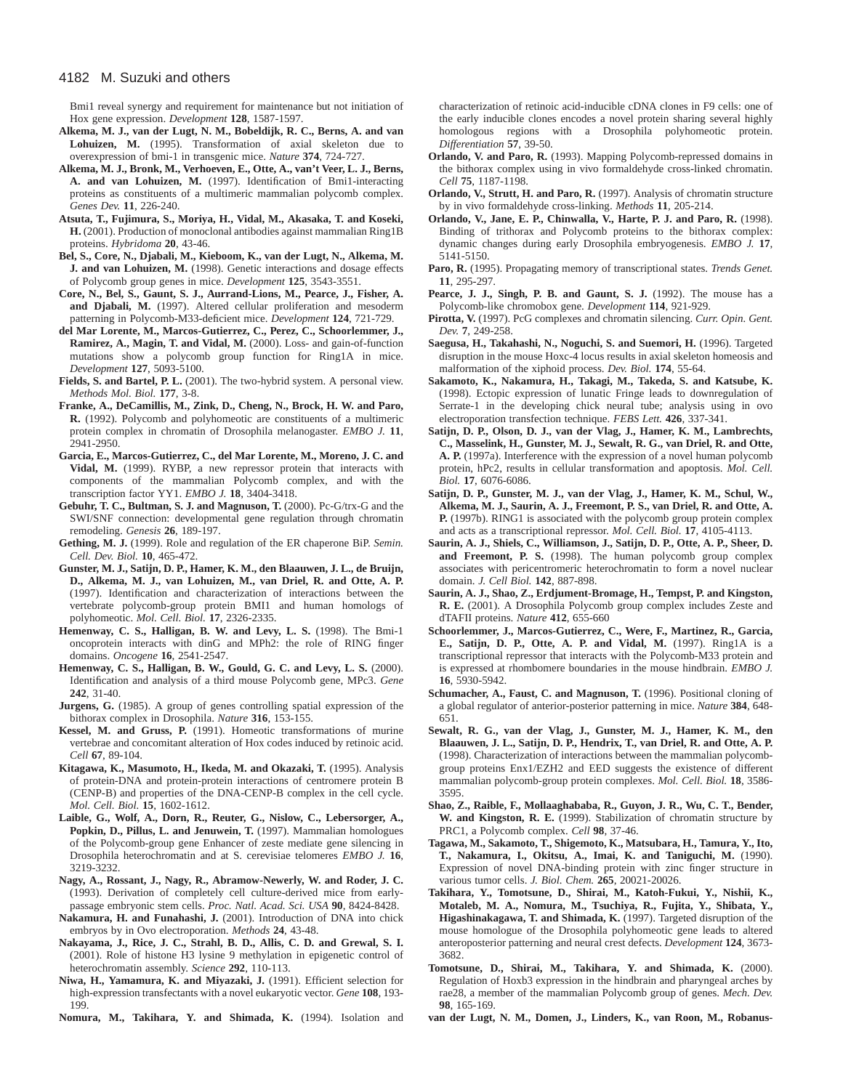Bmi1 reveal synergy and requirement for maintenance but not initiation of Hox gene expression. *Development* **128**, 1587-1597.

- **Alkema, M. J., van der Lugt, N. M., Bobeldijk, R. C., Berns, A. and van Lohuizen, M.** (1995). Transformation of axial skeleton due to overexpression of bmi-1 in transgenic mice. *Nature* **374**, 724-727.
- **Alkema, M. J., Bronk, M., Verhoeven, E., Otte, A., van't Veer, L. J., Berns, A. and van Lohuizen, M.** (1997). Identification of Bmi1-interacting proteins as constituents of a multimeric mammalian polycomb complex. *Genes Dev.* **11**, 226-240.
- **Atsuta, T., Fujimura, S., Moriya, H., Vidal, M., Akasaka, T. and Koseki, H.** (2001). Production of monoclonal antibodies against mammalian Ring1B proteins. *Hybridoma* **20**, 43-46.
- **Bel, S., Core, N., Djabali, M., Kieboom, K., van der Lugt, N., Alkema, M. J. and van Lohuizen, M.** (1998). Genetic interactions and dosage effects of Polycomb group genes in mice. *Development* **125**, 3543-3551.
- **Core, N., Bel, S., Gaunt, S. J., Aurrand-Lions, M., Pearce, J., Fisher, A.** and Djabali, M. (1997). Altered cellular proliferation and mesoderm patterning in Polycomb-M33-deficient mice. *Development* **124**, 721-729.
- **del Mar Lorente, M., Marcos-Gutierrez, C., Perez, C., Schoorlemmer, J., Ramirez, A., Magin, T. and Vidal, M.** (2000). Loss- and gain-of-function mutations show a polycomb group function for Ring1A in mice. *Development* **127**, 5093-5100.
- **Fields, S. and Bartel, P. L.** (2001). The two-hybrid system. A personal view. *Methods Mol. Biol.* **177**, 3-8.
- **Franke, A., DeCamillis, M., Zink, D., Cheng, N., Brock, H. W. and Paro, R.** (1992). Polycomb and polyhomeotic are constituents of a multimeric protein complex in chromatin of Drosophila melanogaster. *EMBO J.* **11**, 2941-2950.
- **Garcia, E., Marcos-Gutierrez, C., del Mar Lorente, M., Moreno, J. C. and Vidal, M.** (1999). RYBP, a new repressor protein that interacts with components of the mammalian Polycomb complex, and with the transcription factor YY1. *EMBO J.* **18**, 3404-3418.
- **Gebuhr, T. C., Bultman, S. J. and Magnuson, T.** (2000). Pc-G/trx-G and the SWI/SNF connection: developmental gene regulation through chromatin remodeling. *Genesis* **26**, 189-197.
- **Gething, M. J.** (1999). Role and regulation of the ER chaperone BiP. *Semin. Cell. Dev. Biol.* **10**, 465-472.
- **Gunster, M. J., Satijn, D. P., Hamer, K. M., den Blaauwen, J. L., de Bruijn, D., Alkema, M. J., van Lohuizen, M., van Driel, R. and Otte, A. P.** (1997). Identification and characterization of interactions between the vertebrate polycomb-group protein BMI1 and human homologs of polyhomeotic. *Mol. Cell. Biol.* **17**, 2326-2335.
- **Hemenway, C. S., Halligan, B. W. and Levy, L. S.** (1998). The Bmi-1 oncoprotein interacts with dinG and MPh2: the role of RING finger domains. *Oncogene* **16**, 2541-2547.
- **Hemenway, C. S., Halligan, B. W., Gould, G. C. and Levy, L. S.** (2000). Identification and analysis of a third mouse Polycomb gene, MPc3. *Gene* **242**, 31-40.
- **Jurgens, G.** (1985). A group of genes controlling spatial expression of the bithorax complex in Drosophila. *Nature* **316**, 153-155.
- **Kessel, M. and Gruss, P.** (1991). Homeotic transformations of murine vertebrae and concomitant alteration of Hox codes induced by retinoic acid. *Cell* **67**, 89-104.
- **Kitagawa, K., Masumoto, H., Ikeda, M. and Okazaki, T.** (1995). Analysis of protein-DNA and protein-protein interactions of centromere protein B (CENP-B) and properties of the DNA-CENP-B complex in the cell cycle. *Mol. Cell. Biol.* **15**, 1602-1612.
- **Laible, G., Wolf, A., Dorn, R., Reuter, G., Nislow, C., Lebersorger, A.,** Popkin, D., Pillus, L. and Jenuwein, T. (1997). Mammalian homologues of the Polycomb-group gene Enhancer of zeste mediate gene silencing in Drosophila heterochromatin and at S. cerevisiae telomeres *EMBO J.* **16**, 3219-3232.
- **Nagy, A., Rossant, J., Nagy, R., Abramow-Newerly, W. and Roder, J. C.** (1993). Derivation of completely cell culture-derived mice from earlypassage embryonic stem cells. *Proc. Natl. Acad. Sci. USA* **90**, 8424-8428.
- **Nakamura, H. and Funahashi, J.** (2001). Introduction of DNA into chick embryos by in Ovo electroporation. *Methods* **24**, 43-48.
- **Nakayama, J., Rice, J. C., Strahl, B. D., Allis, C. D. and Grewal, S. I.** (2001). Role of histone H3 lysine 9 methylation in epigenetic control of heterochromatin assembly. *Science* **292**, 110-113.
- **Niwa, H., Yamamura, K. and Miyazaki, J.** (1991). Efficient selection for high-expression transfectants with a novel eukaryotic vector. *Gene* **108**, 193- 199.
- **Nomura, M., Takihara, Y. and Shimada, K.** (1994). Isolation and

characterization of retinoic acid-inducible cDNA clones in F9 cells: one of the early inducible clones encodes a novel protein sharing several highly homologous regions with a Drosophila polyhomeotic protein. *Differentiation* **57**, 39-50.

- **Orlando, V. and Paro, R.** (1993). Mapping Polycomb-repressed domains in the bithorax complex using in vivo formaldehyde cross-linked chromatin. *Cell* **75**, 1187-1198.
- **Orlando, V., Strutt, H. and Paro, R.** (1997). Analysis of chromatin structure by in vivo formaldehyde cross-linking. *Methods* **11**, 205-214.
- **Orlando, V., Jane, E. P., Chinwalla, V., Harte, P. J. and Paro, R.** (1998). Binding of trithorax and Polycomb proteins to the bithorax complex: dynamic changes during early Drosophila embryogenesis. *EMBO J.* **17**, 5141-5150.
- **Paro, R.** (1995). Propagating memory of transcriptional states. *Trends Genet.* **11**, 295-297.
- Pearce, J. J., Singh, P. B. and Gaunt, S. J. (1992). The mouse has a Polycomb-like chromobox gene. *Development* **114**, 921-929.
- **Pirotta, V.** (1997). PcG complexes and chromatin silencing. *Curr. Opin. Gent. Dev.* **7**, 249-258.
- Saegusa, H., Takahashi, N., Noguchi, S. and Suemori, H. (1996). Targeted disruption in the mouse Hoxc-4 locus results in axial skeleton homeosis and malformation of the xiphoid process. *Dev. Biol.* **174**, 55-64.
- **Sakamoto, K., Nakamura, H., Takagi, M., Takeda, S. and Katsube, K.** (1998). Ectopic expression of lunatic Fringe leads to downregulation of Serrate-1 in the developing chick neural tube; analysis using in ovo electroporation transfection technique. *FEBS Lett.* **426**, 337-341.
- **Satijn, D. P., Olson, D. J., van der Vlag, J., Hamer, K. M., Lambrechts, C., Masselink, H., Gunster, M. J., Sewalt, R. G., van Driel, R. and Otte, A. P.** (1997a). Interference with the expression of a novel human polycomb protein, hPc2, results in cellular transformation and apoptosis. *Mol. Cell. Biol.* **17**, 6076-6086.
- **Satijn, D. P., Gunster, M. J., van der Vlag, J., Hamer, K. M., Schul, W., Alkema, M. J., Saurin, A. J., Freemont, P. S., van Driel, R. and Otte, A. P.** (1997b). RING1 is associated with the polycomb group protein complex and acts as a transcriptional repressor. *Mol. Cell. Biol.* **17**, 4105-4113.
- **Saurin, A. J., Shiels, C., Williamson, J., Satijn, D. P., Otte, A. P., Sheer, D.** and Freemont, P. S. (1998). The human polycomb group complex associates with pericentromeric heterochromatin to form a novel nuclear domain. *J. Cell Biol.* **142**, 887-898.
- **Saurin, A. J., Shao, Z., Erdjument-Bromage, H., Tempst, P. and Kingston, R. E.** (2001). A Drosophila Polycomb group complex includes Zeste and dTAFII proteins. *Nature* **412**, 655-660
- **Schoorlemmer, J., Marcos-Gutierrez, C., Were, F., Martinez, R., Garcia, E., Satijn, D. P., Otte, A. P. and Vidal, M.** (1997). Ring1A is a transcriptional repressor that interacts with the Polycomb-M33 protein and is expressed at rhombomere boundaries in the mouse hindbrain. *EMBO J.* **16**, 5930-5942.
- Schumacher, A., Faust, C. and Magnuson, T. (1996). Positional cloning of a global regulator of anterior-posterior patterning in mice. *Nature* **384**, 648- 651.
- **Sewalt, R. G., van der Vlag, J., Gunster, M. J., Hamer, K. M., den Blaauwen, J. L., Satijn, D. P., Hendrix, T., van Driel, R. and Otte, A. P.** (1998). Characterization of interactions between the mammalian polycombgroup proteins Enx1/EZH2 and EED suggests the existence of different mammalian polycomb-group protein complexes. *Mol. Cell. Biol.* **18**, 3586- 3595.
- **Shao, Z., Raible, F., Mollaaghababa, R., Guyon, J. R., Wu, C. T., Bender,** W. and Kingston, R. E. (1999). Stabilization of chromatin structure by PRC1, a Polycomb complex. *Cell* **98**, 37-46.
- **Tagawa, M., Sakamoto, T., Shigemoto, K., Matsubara, H., Tamura, Y., Ito, T., Nakamura, I., Okitsu, A., Imai, K. and Taniguchi, M.** (1990). Expression of novel DNA-binding protein with zinc finger structure in various tumor cells. *J. Biol. Chem.* **265**, 20021-20026.
- **Takihara, Y., Tomotsune, D., Shirai, M., Katoh-Fukui, Y., Nishii, K., Motaleb, M. A., Nomura, M., Tsuchiya, R., Fujita, Y., Shibata, Y.,** Higashinakagawa, T. and Shimada, K. (1997). Targeted disruption of the mouse homologue of the Drosophila polyhomeotic gene leads to altered anteroposterior patterning and neural crest defects. *Development* **124**, 3673- 3682.
- **Tomotsune, D., Shirai, M., Takihara, Y. and Shimada, K.** (2000). Regulation of Hoxb3 expression in the hindbrain and pharyngeal arches by rae28, a member of the mammalian Polycomb group of genes. *Mech. Dev.* **98**, 165-169.
- **van der Lugt, N. M., Domen, J., Linders, K., van Roon, M., Robanus-**